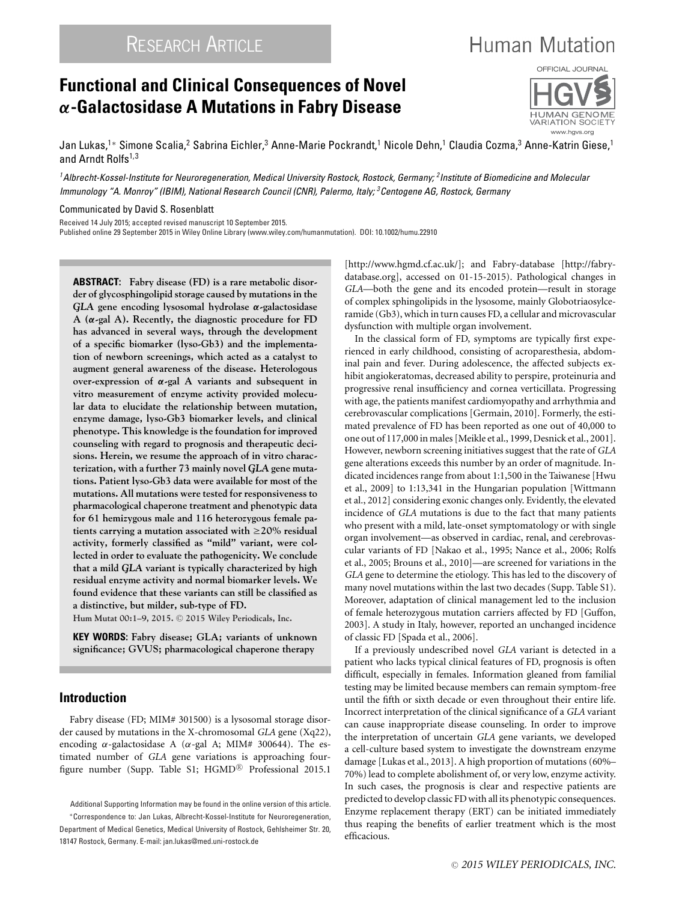# **Functional and Clinical Consequences of Novel** *α***-Galactosidase A Mutations in Fabry Disease**



**Human Mutation** 

www.hgvs.org

VARIATION SOCIET

Jan Lukas,<sup>1</sup>\* Simone Scalia,<sup>2</sup> Sabrina Eichler,<sup>3</sup> Anne-Marie Pockrandt,<sup>1</sup> Nicole Dehn,<sup>1</sup> Claudia Cozma,<sup>3</sup> Anne-Katrin Giese,<sup>1</sup> and Arndt Rolfs<sup>1,3</sup>

*1Albrecht-Kossel-Institute for Neuroregeneration, Medical University Rostock, Rostock, Germany; 2Institute of Biomedicine and Molecular Immunology "A. Monroy" (IBIM), National Research Council (CNR), Palermo, Italy; 3Centogene AG, Rostock, Germany*

Communicated by David S. Rosenblatt

Received 14 July 2015; accepted revised manuscript 10 September 2015.

Published online 29 September 2015 in Wiley Online Library (www.wiley.com/humanmutation). DOI: 10.1002/humu.22910

**ABSTRACT: Fabry disease (FD) is a rare metabolic disorder of glycosphingolipid storage caused by mutations in the** *GLA* **gene encoding lysosomal hydrolase** *α***-galactosidase A (***α***-gal A). Recently, the diagnostic procedure for FD has advanced in several ways, through the development of a specific biomarker (lyso-Gb3) and the implementation of newborn screenings, which acted as a catalyst to augment general awareness of the disease. Heterologous over-expression of** *α***-gal A variants and subsequent in vitro measurement of enzyme activity provided molecular data to elucidate the relationship between mutation, enzyme damage, lyso-Gb3 biomarker levels, and clinical phenotype. This knowledge is the foundation for improved counseling with regard to prognosis and therapeutic decisions. Herein, we resume the approach of in vitro characterization, with a further 73 mainly novel** *GLA* **gene mutations. Patient lyso-Gb3 data were available for most of the mutations. All mutations were tested for responsiveness to pharmacological chaperone treatment and phenotypic data for 61 hemizygous male and 116 heterozygous female pa**tients carrying a mutation associated with  $\geq$ 20% residual **activity, formerly classified as "mild" variant, were collected in order to evaluate the pathogenicity. We conclude that a mild** *GLA* **variant is typically characterized by high residual enzyme activity and normal biomarker levels. We found evidence that these variants can still be classified as a distinctive, but milder, sub-type of FD.**

**Hum Mutat 00:1–9, 2015.** <sup>C</sup> **2015 Wiley Periodicals, Inc.**

**KEY WORDS: Fabry disease; GLA; variants of unknown significance; GVUS; pharmacological chaperone therapy**

# **Introduction**

Fabry disease (FD; MIM# 301500) is a lysosomal storage disorder caused by mutations in the X-chromosomal *GLA* gene (Xq22), encoding  $\alpha$ -galactosidase A ( $\alpha$ -gal A; MIM# 300644). The estimated number of *GLA* gene variations is approaching fourfigure number (Supp. Table S1; HGMD® Professional 2015.1

[\[http://www.hgmd.cf.ac.uk/\]](http://www.hgmd.cf.ac.uk/); and Fabry-database [\[http://fabry](http://fabry-database.org)[database.org\]](http://fabry-database.org), accessed on 01-15-2015). Pathological changes in *GLA*—both the gene and its encoded protein—result in storage of complex sphingolipids in the lysosome, mainly Globotriaosylceramide (Gb3), which in turn causes FD, a cellular and microvascular dysfunction with multiple organ involvement.

In the classical form of FD, symptoms are typically first experienced in early childhood, consisting of acroparesthesia, abdominal pain and fever. During adolescence, the affected subjects exhibit angiokeratomas, decreased ability to perspire, proteinuria and progressive renal insufficiency and cornea verticillata. Progressing with age, the patients manifest cardiomyopathy and arrhythmia and cerebrovascular complications [Germain, 2010]. Formerly, the estimated prevalence of FD has been reported as one out of 40,000 to one out of 117,000 in males [Meikle et al., 1999, Desnick et al., 2001]. However, newborn screening initiatives suggest that the rate of *GLA* gene alterations exceeds this number by an order of magnitude. Indicated incidences range from about 1:1,500 in the Taiwanese [Hwu et al., 2009] to 1:13,341 in the Hungarian population [Wittmann et al., 2012] considering exonic changes only. Evidently, the elevated incidence of *GLA* mutations is due to the fact that many patients who present with a mild, late-onset symptomatology or with single organ involvement—as observed in cardiac, renal, and cerebrovascular variants of FD [Nakao et al., 1995; Nance et al., 2006; Rolfs et al., 2005; Brouns et al., 2010]—are screened for variations in the *GLA* gene to determine the etiology. This has led to the discovery of many novel mutations within the last two decades (Supp. Table S1). Moreover, adaptation of clinical management led to the inclusion of female heterozygous mutation carriers affected by FD [Guffon, 2003]. A study in Italy, however, reported an unchanged incidence of classic FD [Spada et al., 2006].

If a previously undescribed novel *GLA* variant is detected in a patient who lacks typical clinical features of FD, prognosis is often difficult, especially in females. Information gleaned from familial testing may be limited because members can remain symptom-free until the fifth or sixth decade or even throughout their entire life. Incorrect interpretation of the clinical significance of a *GLA* variant can cause inappropriate disease counseling. In order to improve the interpretation of uncertain *GLA* gene variants, we developed a cell-culture based system to investigate the downstream enzyme damage [Lukas et al., 2013]. A high proportion of mutations (60%– 70%) lead to complete abolishment of, or very low, enzyme activity. In such cases, the prognosis is clear and respective patients are predicted to develop classic FD with all its phenotypic consequences. Enzyme replacement therapy (ERT) can be initiated immediately thus reaping the benefits of earlier treatment which is the most efficacious.

Additional Supporting Information may be found in the online version of this article. ∗Correspondence to: Jan Lukas, Albrecht-Kossel-Institute for Neuroregeneration, Department of Medical Genetics, Medical University of Rostock, Gehlsheimer Str. 20, 18147 Rostock, Germany. E-mail: jan.lukas@med.uni-rostock.de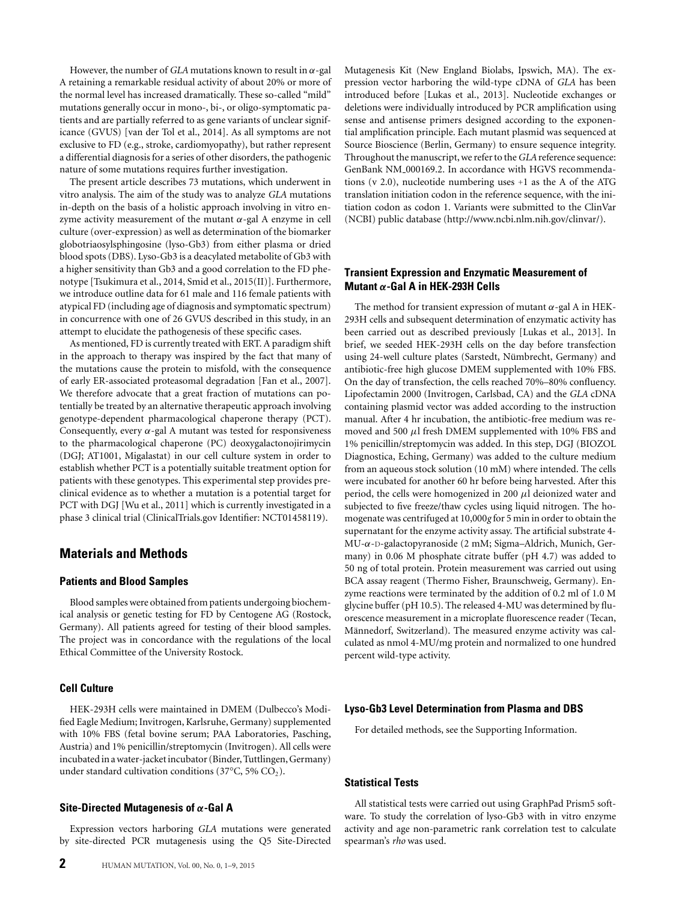However, the number of *GLA* mutations known to result in  $\alpha$ -gal A retaining a remarkable residual activity of about 20% or more of the normal level has increased dramatically. These so-called "mild" mutations generally occur in mono-, bi-, or oligo-symptomatic patients and are partially referred to as gene variants of unclear significance (GVUS) [van der Tol et al., 2014]. As all symptoms are not exclusive to FD (e.g., stroke, cardiomyopathy), but rather represent a differential diagnosis for a series of other disorders, the pathogenic nature of some mutations requires further investigation.

The present article describes 73 mutations, which underwent in vitro analysis. The aim of the study was to analyze *GLA* mutations in-depth on the basis of a holistic approach involving in vitro enzyme activity measurement of the mutant  $\alpha$ -gal A enzyme in cell culture (over-expression) as well as determination of the biomarker globotriaosylsphingosine (lyso-Gb3) from either plasma or dried blood spots (DBS). Lyso-Gb3 is a deacylated metabolite of Gb3 with a higher sensitivity than Gb3 and a good correlation to the FD phenotype [Tsukimura et al., 2014, Smid et al., 2015(II)]. Furthermore, we introduce outline data for 61 male and 116 female patients with atypical FD (including age of diagnosis and symptomatic spectrum) in concurrence with one of 26 GVUS described in this study, in an attempt to elucidate the pathogenesis of these specific cases.

As mentioned, FD is currently treated with ERT. A paradigm shift in the approach to therapy was inspired by the fact that many of the mutations cause the protein to misfold, with the consequence of early ER-associated proteasomal degradation [Fan et al., 2007]. We therefore advocate that a great fraction of mutations can potentially be treated by an alternative therapeutic approach involving genotype-dependent pharmacological chaperone therapy (PCT). Consequently, every  $\alpha$ -gal A mutant was tested for responsiveness to the pharmacological chaperone (PC) deoxygalactonojirimycin (DGJ; AT1001, Migalastat) in our cell culture system in order to establish whether PCT is a potentially suitable treatment option for patients with these genotypes. This experimental step provides preclinical evidence as to whether a mutation is a potential target for PCT with DGJ [Wu et al., 2011] which is currently investigated in a phase 3 clinical trial (ClinicalTrials.gov Identifier: NCT01458119).

# **Materials and Methods**

### **Patients and Blood Samples**

Blood samples were obtained from patients undergoing biochemical analysis or genetic testing for FD by Centogene AG (Rostock, Germany). All patients agreed for testing of their blood samples. The project was in concordance with the regulations of the local Ethical Committee of the University Rostock.

### **Cell Culture**

HEK-293H cells were maintained in DMEM (Dulbecco's Modified Eagle Medium; Invitrogen, Karlsruhe, Germany) supplemented with 10% FBS (fetal bovine serum; PAA Laboratories, Pasching, Austria) and 1% penicillin/streptomycin (Invitrogen). All cells were incubated in awater-jacket incubator (Binder, Tuttlingen, Germany) under standard cultivation conditions (37 $\mathrm{^{\circ}C}$ , 5%  $\mathrm{CO}_{2}$ ).

### **Site-Directed Mutagenesis of** *α***-Gal A**

Expression vectors harboring *GLA* mutations were generated by site-directed PCR mutagenesis using the Q5 Site-Directed Mutagenesis Kit (New England Biolabs, Ipswich, MA). The expression vector harboring the wild-type cDNA of *GLA* has been introduced before [Lukas et al., 2013]. Nucleotide exchanges or deletions were individually introduced by PCR amplification using sense and antisense primers designed according to the exponential amplification principle. Each mutant plasmid was sequenced at Source Bioscience (Berlin, Germany) to ensure sequence integrity. Throughout the manuscript, we refer to the*GLA*reference sequence: GenBank NM 000169.2. In accordance with HGVS recommendations (v 2.0), nucleotide numbering uses +1 as the A of the ATG translation initiation codon in the reference sequence, with the initiation codon as codon 1. Variants were submitted to the ClinVar (NCBI) public database [\(http://www.ncbi.nlm.nih.gov/clinvar/\)](http://www.ncbi.nlm.nih.gov/clinvar/).

## **Transient Expression and Enzymatic Measurement of Mutant** *α***-Gal A in HEK-293H Cells**

The method for transient expression of mutant  $\alpha$ -gal A in HEK-293H cells and subsequent determination of enzymatic activity has been carried out as described previously [Lukas et al., 2013]. In brief, we seeded HEK-293H cells on the day before transfection using 24-well culture plates (Sarstedt, Nümbrecht, Germany) and antibiotic-free high glucose DMEM supplemented with 10% FBS. On the day of transfection, the cells reached 70%–80% confluency. Lipofectamin 2000 (Invitrogen, Carlsbad, CA) and the *GLA* cDNA containing plasmid vector was added according to the instruction manual. After 4 hr incubation, the antibiotic-free medium was removed and 500  $\mu$ l fresh DMEM supplemented with 10% FBS and 1% penicillin/streptomycin was added. In this step, DGJ (BIOZOL Diagnostica, Eching, Germany) was added to the culture medium from an aqueous stock solution (10 mM) where intended. The cells were incubated for another 60 hr before being harvested. After this period, the cells were homogenized in 200  $\mu$ l deionized water and subjected to five freeze/thaw cycles using liquid nitrogen. The homogenate was centrifuged at 10,000*g* for 5 min in order to obtain the supernatant for the enzyme activity assay. The artificial substrate 4- MU-α-D-galactopyranoside (2 mM; Sigma–Aldrich, Munich, Germany) in 0.06 M phosphate citrate buffer (pH 4.7) was added to 50 ng of total protein. Protein measurement was carried out using BCA assay reagent (Thermo Fisher, Braunschweig, Germany). Enzyme reactions were terminated by the addition of 0.2 ml of 1.0 M glycine buffer (pH 10.5). The released 4-MU was determined by fluorescence measurement in a microplate fluorescence reader (Tecan, Männedorf, Switzerland). The measured enzyme activity was calculated as nmol 4-MU/mg protein and normalized to one hundred percent wild-type activity.

### **Lyso-Gb3 Level Determination from Plasma and DBS**

For detailed methods, see the Supporting Information.

### **Statistical Tests**

All statistical tests were carried out using GraphPad Prism5 software. To study the correlation of lyso-Gb3 with in vitro enzyme activity and age non-parametric rank correlation test to calculate spearman's *rho* was used.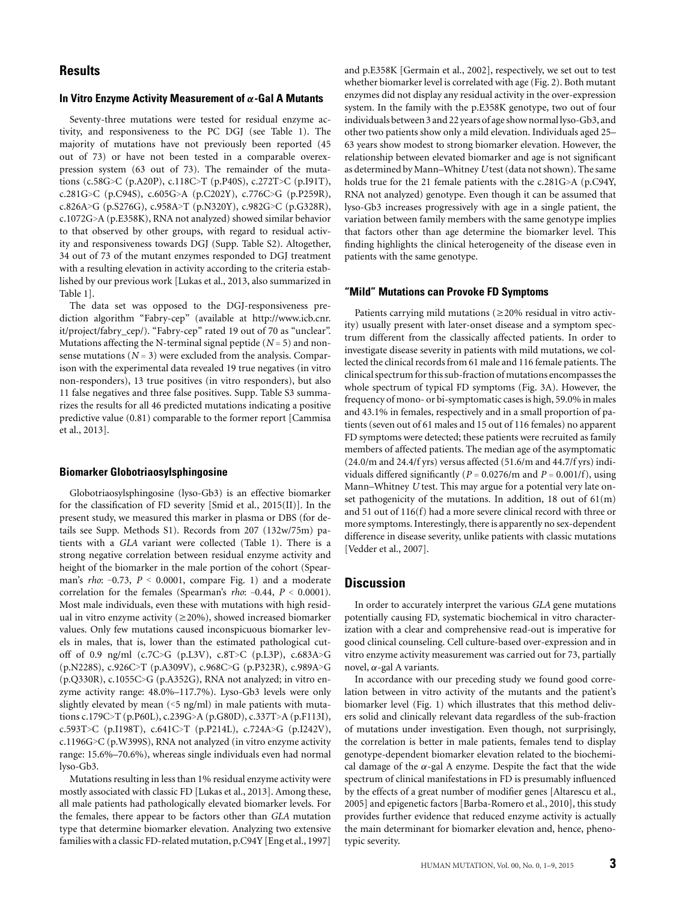# **Results**

#### **In Vitro Enzyme Activity Measurement of** *α***-Gal A Mutants**

Seventy-three mutations were tested for residual enzyme activity, and responsiveness to the PC DGJ (see Table 1). The majority of mutations have not previously been reported (45 out of 73) or have not been tested in a comparable overexpression system (63 out of 73). The remainder of the mutations (c.58G>C (p.A20P), c.118C>T (p.P40S), c.272T>C (p.I91T), c.281G>C (p.C94S), c.605G>A (p.C202Y), c.776C>G (p.P259R), c.826A>G (p.S276G), c.958A>T (p.N320Y), c.982G>C (p.G328R), c.1072G>A (p.E358K), RNA not analyzed) showed similar behavior to that observed by other groups, with regard to residual activity and responsiveness towards DGJ (Supp. Table S2). Altogether, 34 out of 73 of the mutant enzymes responded to DGJ treatment with a resulting elevation in activity according to the criteria established by our previous work [Lukas et al., 2013, also summarized in Table 1].

The data set was opposed to the DGJ-responsiveness prediction algorithm "Fabry-cep" (available at [http://www.icb.cnr.](http://www.icb.cnr.it/project/fabry_cep/) [it/project/fabry\\_cep/\)](http://www.icb.cnr.it/project/fabry_cep/). "Fabry-cep" rated 19 out of 70 as "unclear". Mutations affecting the N-terminal signal peptide  $(N=5)$  and nonsense mutations  $(N = 3)$  were excluded from the analysis. Comparison with the experimental data revealed 19 true negatives (in vitro non-responders), 13 true positives (in vitro responders), but also 11 false negatives and three false positives. Supp. Table S3 summarizes the results for all 46 predicted mutations indicating a positive predictive value (0.81) comparable to the former report [Cammisa et al., 2013].

#### **Biomarker Globotriaosylsphingosine**

Globotriaosylsphingosine (lyso-Gb3) is an effective biomarker for the classification of FD severity [Smid et al., 2015(II)]. In the present study, we measured this marker in plasma or DBS (for details see Supp. Methods S1). Records from 207 (132w/75m) patients with a *GLA* variant were collected (Table 1). There is a strong negative correlation between residual enzyme activity and height of the biomarker in the male portion of the cohort (Spearman's *rho*: –0.73, *P* < 0.0001, compare Fig. 1) and a moderate correlation for the females (Spearman's *rho*: –0.44, *P* < 0.0001). Most male individuals, even these with mutations with high residual in vitro enzyme activity ( $\geq$ 20%), showed increased biomarker values. Only few mutations caused inconspicuous biomarker levels in males, that is, lower than the estimated pathological cutoff of 0.9 ng/ml (c.7C>G (p.L3V), c.8T>C (p.L3P), c.683A>G (p.N228S), c.926C>T (p.A309V), c.968C>G (p.P323R), c.989A>G (p.Q330R), c.1055C>G (p.A352G), RNA not analyzed; in vitro enzyme activity range: 48.0%–117.7%). Lyso-Gb3 levels were only slightly elevated by mean  $(5 \text{ ng/ml})$  in male patients with mutations c.179C>T (p.P60L), c.239G>A (p.G80D), c.337T>A (p.F113I), c.593T>C (p.I198T), c.641C>T (p.P214L), c.724A>G (p.I242V), c.1196G>C (p.W399S), RNA not analyzed (in vitro enzyme activity range: 15.6%–70.6%), whereas single individuals even had normal lyso-Gb3.

Mutations resulting in less than 1% residual enzyme activity were mostly associated with classic FD [Lukas et al., 2013]. Among these, all male patients had pathologically elevated biomarker levels. For the females, there appear to be factors other than *GLA* mutation type that determine biomarker elevation. Analyzing two extensive families with a classic FD-related mutation, p.C94Y [Eng et al., 1997]

and p.E358K [Germain et al., 2002], respectively, we set out to test whether biomarker level is correlated with age (Fig. 2). Both mutant enzymes did not display any residual activity in the over-expression system. In the family with the p.E358K genotype, two out of four individuals between 3 and 22 years of age show normal lyso-Gb3, and other two patients show only a mild elevation. Individuals aged 25– 63 years show modest to strong biomarker elevation. However, the relationship between elevated biomarker and age is not significant as determined by Mann–Whitney *U* test (data not shown). The same holds true for the 21 female patients with the c.281G>A (p.C94Y, RNA not analyzed) genotype. Even though it can be assumed that lyso-Gb3 increases progressively with age in a single patient, the variation between family members with the same genotype implies that factors other than age determine the biomarker level. This finding highlights the clinical heterogeneity of the disease even in patients with the same genotype.

#### **"Mild" Mutations can Provoke FD Symptoms**

Patients carrying mild mutations ( $\geq$ 20% residual in vitro activity) usually present with later-onset disease and a symptom spectrum different from the classically affected patients. In order to investigate disease severity in patients with mild mutations, we collected the clinical records from 61 male and 116 female patients. The clinical spectrum for this sub-fraction of mutations encompasses the whole spectrum of typical FD symptoms (Fig. 3A). However, the frequency of mono- or bi-symptomatic cases is high, 59.0% in males and 43.1% in females, respectively and in a small proportion of patients (seven out of 61 males and 15 out of 116 females) no apparent FD symptoms were detected; these patients were recruited as family members of affected patients. The median age of the asymptomatic  $(24.0/m$  and  $24.4/f$  yrs) versus affected  $(51.6/m$  and  $44.7/f$  yrs) individuals differed significantly ( $P = 0.0276/m$  and  $P = 0.001/f$ ), using Mann–Whitney *U* test. This may argue for a potential very late onset pathogenicity of the mutations. In addition, 18 out of 61(m) and 51 out of 116(f) had a more severe clinical record with three or more symptoms. Interestingly, there is apparently no sex-dependent difference in disease severity, unlike patients with classic mutations [Vedder et al., 2007].

## **Discussion**

In order to accurately interpret the various *GLA* gene mutations potentially causing FD, systematic biochemical in vitro characterization with a clear and comprehensive read-out is imperative for good clinical counseling. Cell culture-based over-expression and in vitro enzyme activity measurement was carried out for 73, partially novel,  $\alpha$ -gal A variants.

In accordance with our preceding study we found good correlation between in vitro activity of the mutants and the patient's biomarker level (Fig. 1) which illustrates that this method delivers solid and clinically relevant data regardless of the sub-fraction of mutations under investigation. Even though, not surprisingly, the correlation is better in male patients, females tend to display genotype-dependent biomarker elevation related to the biochemical damage of the  $\alpha$ -gal A enzyme. Despite the fact that the wide spectrum of clinical manifestations in FD is presumably influenced by the effects of a great number of modifier genes [Altarescu et al., 2005] and epigenetic factors [Barba-Romero et al., 2010], this study provides further evidence that reduced enzyme activity is actually the main determinant for biomarker elevation and, hence, phenotypic severity.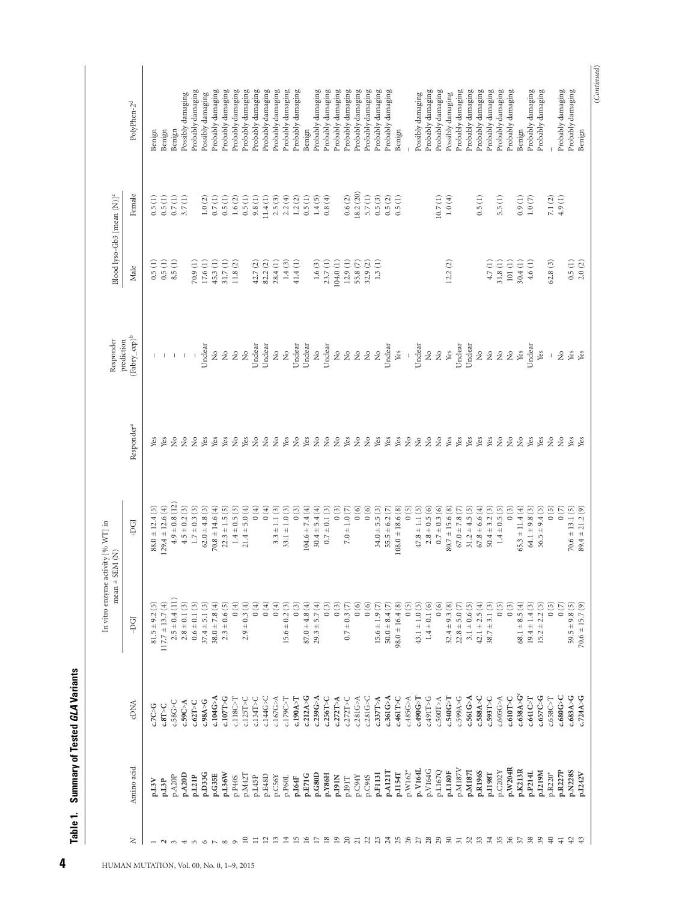|                           |            |                           | In vitro enzyme activity [% WT] in<br>$mean \pm SEM (N)$ |                      |                                | Responder                             | Blood lyso-Gb3 [mean (N)] <sup>c</sup> |           |                         |
|---------------------------|------------|---------------------------|----------------------------------------------------------|----------------------|--------------------------------|---------------------------------------|----------------------------------------|-----------|-------------------------|
| z                         | Amino acid | <b>CDNA</b>               | -DGI                                                     | +DGJ                 | Responder <sup>a</sup>         | $(\mbox{Fabry\_cep})^b$<br>prediction | Male                                   | Female    | PolyPhen-2 <sup>d</sup> |
|                           | p.L3V      | C7C > G                   | $81.5 \pm 9.2$ (5)                                       | $88.0 \pm 12.4(5)$   | Yes                            |                                       | 0.5(1)                                 | 0.5(1)    | Benign                  |
| $\sim$                    | p.L3P      | C.8T > C                  | $117.7 \pm 13.7(4)$                                      | $(29.4 \pm 12.6(4))$ | Yes                            |                                       | 0.5(1)                                 | 0.5(1)    | Benign                  |
| $\infty$                  | p.A20P     | c.58G > C                 | $2.5 \pm 0.4(11)$                                        | $4.9 \pm 0.8$ (12)   | $\tilde{z}$                    |                                       | 8.5(1)                                 | 0.7(1)    | Benign                  |
| ₩                         | p.A20D     | c.59C>A                   | $2.8\pm0.1\ (3)$                                         | $4.5\pm0.2\ (3)$     | $\tilde{z}$                    |                                       |                                        | 3.7(1)    | Possibly damaging       |
| $\sqrt{2}$                | p.L21P     | $c.62$ T>C                | $0.6 \pm 0.1$ (3)                                        | $1.7\pm0.3~(3)$      | $\tilde{z}$                    | $\pm$ $\pm$                           | $\widehat{z}$<br>70.9                  |           | Probably damaging       |
| ৩                         | p.D33G     | c.98A > G                 | $37.4 \pm 5.1(3)$                                        | $62.0 \pm 4.8$ (3)   | Yes                            | Unclear                               | 17.6(1)                                | 1.0(2)    | Possibly damaging       |
|                           | p.G35E     | c.104G>A                  | $38.0 \pm 7.8(4)$                                        | $70.8 \pm 14.6(4)$   | Yes                            | $\stackrel{\circ}{\mathcal{Z}}$       | 45.3(1)                                | 0.7(1)    | Probably damaging       |
| $\infty$                  | p.L36W     | c.107T > G                | $2.3 \pm 0.6$ (5)                                        | $22.3 \pm 1.5(5)$    | Yes                            | $\hat{z}$                             | 31.7(1)                                | 0.5(1)    | Probably damaging       |
| $\circ$                   | p.P40S     | c.118C > T                | (4)                                                      | $1.4 \pm 0.5$ (3)    | $\tilde{z}$                    | $\stackrel{\mathtt{o}}{\mathtt{x}}$   | 11.8(2)                                | 1.6(2)    | Probably damaging       |
| $\overline{10}$           | p.M42T     | $c.125T>$ C               | $2.9 \pm 0.3(4)$                                         | $21.4 \pm 5.0(4)$    | Yes                            |                                       |                                        | 0.5(1)    | Probably damaging       |
| $\equiv$                  | p.L45P     | $c.134T>$ C               | (4)                                                      | (4)                  | $\gtrsim$                      | Unclear                               | $\odot$<br>42.7                        | 9.8(1)    | Probably damaging       |
| $\overline{\mathbf{r}}$   | p.E48D     | c.144G > C                | $0(4)$                                                   | 0(4)                 | $\gtrsim$                      | Unclear                               | 82.2(2)                                | 11.4(1)   | Probably damaging       |
| $\Xi$                     | p.C56Y     | c.167G>A                  | (4)                                                      | $3.3 \pm 1.1$ (3)    | $\gtrsim$                      | $\frac{1}{2}$                         | 28.4(1)                                | 2.5(3)    | Probably damaging       |
| $\mathbf{1}^{\mathbf{4}}$ | p.P60L     | c.179C>T                  | $15.6 \pm 0.2$ (3)                                       | $33.1 \pm 1.0(3)$    | Yes                            | $\mathring{z}$                        | $1.4(3)$                               | 2.2(4)    | Probably damaging       |
| Ľ                         | p.164F     | c.190A > T                | 0(3)                                                     | $0\ (3)$             | $\tilde{z}$                    | Unclear                               | 41.4(1)                                | 1.2(2)    | Probably damaging       |
| $\approx$                 | p.E71G     | c.212A > G                | $87.0 \pm 4.8(4)$                                        | $104.6 \pm 7.4(4)$   | Yes                            | Unclear                               |                                        | 0.5(1)    | Benign                  |
| $\sum_{i=1}^{n}$          | p.G80D     | c.239G>A                  | $29.3 \pm 5.7(4)$                                        | $30.4 \pm 5.4(4)$    | $\gtrsim$                      | ż                                     | 1.6(3)                                 | 1.4(5)    | Probably damaging       |
| $\frac{8}{10}$            | p.Y86H     | c.256T > C                | 0(3)                                                     | $0.7\pm0.1\ (3)$     | $\rm \stackrel{\circ}{\simeq}$ | Unclear                               | 23.7(1)                                | 0.8(4)    | Probably damaging       |
| $\tilde{=}$               | p.191N     | c.272T>A                  | (3)                                                      | $0(3)$               | $\tilde{z}$                    | $\frac{1}{2}$                         | 104.0(1)                               |           | Probably damaging       |
| $\Omega$                  | P.I91T     | $c.272T>$ C               | $0.7 \pm 0.3$ (7)                                        | $7.0 \pm 1.0 (7)$    | Yes                            | $\frac{1}{2}$                         | 12.9(1)                                | 0.6(2)    | Probably damaging       |
| $\overline{c}$            | p.C94Y     | c.281G>A                  | 0(6)                                                     | 0(6)                 | $\gtrsim$                      | $\frac{1}{2}$                         | 55.8 (7)                               | 18.2 (20) | Probably damaging       |
|                           | p.C94S     | c.281G > C                | 0(6)                                                     | 0(6)                 | $\geq$                         | $\mathring{z}$                        | 32.9(2)                                | 5.7(1)    | Probably damaging       |
| 23                        | p.F113I    | c.337T>A                  | $15.6 \pm 1.9$ (7)                                       | $34.0 \pm 5.5(3)$    | Yes                            | $\mathring{z}$                        | 1.3(1)                                 | 0.5(3)    | Probably damaging       |
| 24                        | p.A121T    | c.361G>A                  | $50.0 + 8.4(7)$                                          | $55.5 \pm 6.2$ (7)   | Yes                            | Unclear                               |                                        | 0.5(2)    | Probably damaging       |
| 25                        | p.I154T    | c.461T>C                  | $98.0 \pm 16.4(8)$                                       | $108.0 \pm 18.6(8)$  | Yes                            | Yes                                   |                                        | 0.5(1)    | Benign                  |
| 26                        | p.W162*    | c.485G>A                  | 0(5)                                                     | 0(5)                 | $\tilde{z}$                    |                                       |                                        |           |                         |
|                           | p. V164I   | c.490G>T                  | $43.1 \pm 1.0(5)$                                        | $47.8 \pm 1.1(5)$    | $\tilde{z}$                    | Unclear                               |                                        |           | Possibly damaging       |
| 28                        | p.V164G    | c.491T>G                  | $1.4 \pm 0.1(6)$                                         | $2.8 \pm 0.5(6)$     | $\tilde{z}$                    | $\stackrel{\circ}{\simeq}$            |                                        |           | Probably damaging       |
|                           | p.L167Q    | c.500T>A                  | 0(6)                                                     | $0.7 \pm 0.3(6)$     | $\tilde{z}$                    | $\mathring{z}$                        |                                        | 10.7(1)   | Probably damaging       |
| 2.7287888                 | p.L180F    | c.540G>T                  | $32.4 \pm 9.3(8)$                                        | $80.7 \pm 15.6(8)$   | Yes                            | Yes                                   | 12.2(2)                                | $1.0(4)$  | Possibly damaging       |
|                           | p.M187V    | c.599A > G                | $22.8 \pm 5.0$ (7)                                       | $67.0 \pm 7.8$ (7)   | Yes                            | Unclear                               |                                        |           | Probably damaging       |
|                           | p.M187I    | c.561G>A                  | $3.1 \pm 0.6$ (5)                                        | $31.2 \pm 4.5(5)$    | Yes                            | Unclear                               |                                        |           | Probably damaging       |
|                           | p.R196S    | c.588A > C                | $42.1 \pm 2.5(4)$                                        | $67.8 \pm 6.6(4)$    | Yes                            | $\ensuremath{\mathring{\varkappa}}$   |                                        | 0.5(1)    | Probably damaging       |
|                           | p.I198T    | C.593T>C                  | $38.7 \pm 3.1(3)$                                        | $50.4 \pm 3.2(3)$    | Yes                            | $\tilde{z}$                           | 4.7(1)                                 |           | Probably damaging       |
|                           | p.C202Y    | c.605G>A                  | (5)0                                                     | $1.4 \pm 0.5(5)$     | $\gtrsim$                      | $\frac{1}{2}$                         | 31.8(1)                                | 5.5(1)    | Probably damaging       |
|                           | p.W204R    | c.610T>C                  | 0(3)                                                     | $0\ (3)$             | $\gtrsim$                      | $\mathring{z}$                        | $101\ (1)$                             |           | Probably damaging       |
| $\overline{\mathcal{E}}$  | p.K213R    | c.638A > G <sup>e</sup>   | $68.1 \pm 8.5(4)$                                        | $65.3 \pm 11.4(4)$   | $\tilde{z}$                    | Yes                                   | 30.4(1)                                | 0.9(1)    | Benign                  |
| 38                        | p.P214L    | $c.641C \triangleright T$ | $19.4 \pm 1.4$ (3)                                       | $64.1 \pm 9.8$ (3)   | Yes                            | Unclear                               | 4.6 (1)                                | 1.0(7)    | Probably damaging       |
| 39                        | p.I219M    | c.657C>G                  | $15.2 \pm 2.2$ (5)                                       | $56.5 \pm 9.4$ (5)   | Yes                            | Yes                                   |                                        |           | Probably damaging       |
| $\Theta$                  | p.R220*    | c.658C > T                | 0(5)                                                     | 0(5)                 | $\tilde{z}$                    |                                       | 62.8(3)                                | 7.1(2)    |                         |
| $\overline{41}$           | p.R227P    | c.680G>C                  | 0(7)                                                     | 0(7)                 | $\tilde{z}$                    | $\tilde{z}$                           |                                        | 4.9(1)    | Probably damaging       |
| $\overline{5}$            | p.N228S    | c.683A > G                | $59.5 \pm 9.8$ (5)                                       | $70.6 \pm 13.1(5)$   | Yes                            | Yes                                   | 0.5(1)                                 |           | Probably damaging       |
|                           | p.I242V    | c.724A > G                | $70.6 \pm 15.7(9)$                                       | $89.4 \pm 21.2(9)$   | Yes                            | Yes                                   | 2.0(2)                                 |           | Benign                  |

(*Continued*)

 $(Continued) % \begin{minipage}[b]{0.5\linewidth} \centering \centerline{\includegraphics[width=0.5\linewidth]{images/STM100020.jpg} \centerline{\includegraphics[width=0.5\linewidth]{images/STM100020.jpg} \centerline{\includegraphics[width=0.5\linewidth]{images/STM100020.jpg} \centerline{\includegraphics[width=0.5\linewidth]{images/STM100020.jpg} \centerline{\includegraphics[width=0.5\linewidth]{images/STM100020.jpg} \centerline{\includegraphics[width=0.5\linewidth]{images/STM100020.jpg} \centerline{\includegraphics[width=0.5\linewidth]{images/STM100020.jpg} \centerline{\includegraphics[width$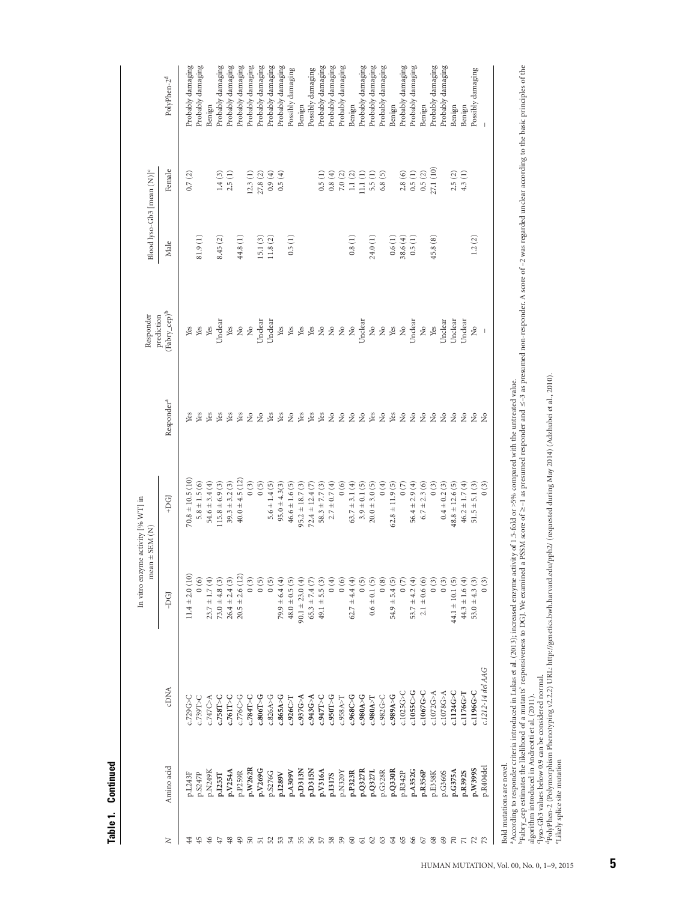| c |
|---|
| ۹ |
| ۰ |

| Probably damaging<br>Probably damaging<br>Probably damaging<br>Probably damaging<br>Probably damaging<br>Probably damaging<br>Probably damaging<br>Probably damaging<br>Probably damaging<br>Probably damaging<br>Probably damaging<br>Probably damaging<br>Probably damaging<br>Probably damaging<br>Probably damaging<br>Probably damaging<br>Probably damaging<br>Probably damaging<br>Probably damaging<br>Possibly damaging<br>Possibly damaging<br>Possibly damaging<br>PolyPhen-2 <sup>d</sup><br>Benign<br>Benign<br>Benign<br>Benign<br>Benign<br>Benign<br>Benign<br>27.1 (10)<br>Female<br>$0.5\ (1)$<br>0.5(2)<br>5.5(1)<br>2.8(6)<br>2.5(2)<br>4.3(1)<br>0.7(2)<br>$1.4(3)$<br>2.5(1)<br>12.3(1)<br>$27.8\ (2)$<br>$0.9(4)$<br>0.5(1)<br>$0.8\ (4)$<br>$7.0\ (2)$<br>$1.1(2)$<br>11.1(1)<br>6.8(5)<br>0.5(4)<br>0.5(1)<br>0.8(1)<br>0.5(1)<br>81.9(1)<br>44.8(1)<br>15.1(3)<br>11.8 $(2)$<br>24.0 (1)<br>0.6(1)<br>38.6(4)<br>45.8(8)<br>1.2(2)<br>8.45 (2)<br>Male<br>$(\mbox{Fabry\_cep})^b$<br>Unclear<br>Unclear<br>Unclear<br>Unclear<br>Unclear<br>Unclear<br>Unclear<br><b>Jnclea</b><br>Yes<br>$\stackrel{\circ}{\mathcal{Z}}$<br>$\stackrel{\circ}{\mathcal{Z}}$<br>$\stackrel{\circ}{\mathcal{Z}}$<br>$\frac{1}{2}$<br>Yes<br>$\mathop{\mathrm{Yes}}$<br>$\stackrel{\circ}{\mathcal{Z}}$<br>$\operatorname{\mathsf{Yes}}$<br>Yes<br>Yes<br>Yes<br>$\stackrel{\circ}{\mathcal{Z}}$<br>$\stackrel{\circ}{\mathcal{Z}}$<br>$\stackrel{\mathtt{o}}{\mathbb{Z}}$<br>Yes<br>Yes<br>$\stackrel{\circ}{\simeq}$<br>ż<br>$\rm \stackrel{\circ}{\phantom{}_{\sim}}$<br>Yes<br>$\begin{array}{c} \hline \end{array}$<br>Responder <sup>a</sup><br>Yes<br>Pos<br>Nes<br>$\stackrel{\circ}{\simeq}$<br>$\stackrel{\circ}{\simeq}$<br>$\tilde{z}$<br>Yes<br>Yes<br>Yes<br>Yes<br>Yes<br>$\stackrel{\circ}{\mathcal{Z}}$<br>$\stackrel{\circ}{\simeq}$<br>Yes<br>Yes<br>$\gtrsim$<br>Yes<br>Yes<br>Yes<br>$\gtrsim$<br>$\gtrsim$<br>$\stackrel{\circ}{\simeq}$<br>$\stackrel{\mathtt{o}}{\mathsf{z}}$<br>$\gtrsim$<br>$\stackrel{\circ}{\mathbf{Z}}$<br>$\tilde{z}$<br>$\tilde{z}$<br>$\tilde{z}$<br>Yes<br>ž,<br>$70.8 \pm 10.5(10)$<br>$40.0 \pm 4.5$ (12)<br>$5.8 \pm 1.5(6)$<br>54.6 ± 3.4 (4)<br>$115.8 \pm 6.9(3)$<br>$39.3 \pm 3.2$ (3)<br>0(3)<br>0(5)<br>0(6)<br>$63.7 \pm 3.1(4)$<br>$0(4)$<br>$56.4 \pm 2.9(4)$<br>$6.7 \pm 2.3(6)$<br>$46.2 \pm 1.7(4)$<br>(3)<br>$46.6 \pm 1.6$ (5)<br>$95.2 \pm 18.7$ (3)<br>$58.3 \pm 7.7(3)$<br>$2.7 \pm 0.7(4)$<br>$3.9 \pm 0.1$ (5)<br>$20.0 \pm 3.0 (5)$<br>$62.8 \pm 11.9$ (5)<br>(3)<br>$0.4 \pm 0.2$ (3)<br>$48.8 \pm 12.6$ (5)<br>$51.5 \pm 5.1(3)$<br>$5.6 \pm 1.4$ (5)<br>$95.0 \pm 4.3(3)$<br>$72.4 \pm 12.4 (7)$<br>(7)<br>+DGJ<br>$11.4 \pm 2.0(10)$<br>$20.5 \pm 2.6(12)$<br>$23.7 \pm 1.7(4)$<br>0(3)<br>0(6)<br>$73.0 \pm 4.8$ (3)<br>$26.4 \pm 2.4$ (3)<br>(5)<br>0(6)<br>$2.1 \pm 0.6(6)$<br>(5)0<br>$79.9 \pm 6.4(4)$<br>(4)<br>$62.7 \pm 4.4(4)$<br>0(5)<br>$0.6 \pm 0.1(5)$<br>0(8)<br>53.7 $\pm$ 4.2 (4)<br>(3)<br>$44.3 \pm 1.6(4)$<br>(3)<br>$48.0 \pm 0.5$ (5)<br>$90.1 \pm 23.0(4)$<br>$49.1 \pm 5.5$ (3)<br>$54.9 \pm 5.4$ (5)<br>0(7)<br>(3)<br>$53.0 \pm 4.3$ (3)<br>$65.3 \pm 7.4 (7)$<br>$44.1 \pm 10.1$ (5)<br>-DGI<br>c.1212-14 del AAG<br><b>CDNA</b><br>c.1055C > G<br>c.1196G>C<br>c.1067G > C<br>c.1124G > C<br>$c.1025G$ >C<br>c.1072G > A<br>c.1078G > A<br>c.1176G > T<br>c.989A > G<br>c.943G>A<br>c.968C<br>c.980A > G<br>c.982G > C<br>c.729G<br>c.776C > G<br>$c.806$ T>G<br>c.937G > A<br>c.950T > G<br>c.980A > T<br>c.739T>C<br>c.761T > C<br>$c.784$ T>C<br>c.826A > G<br>c.865A > G<br>$C.947$ T>C<br>$c.747C$ -A<br>$c.758$ T>C<br>c.958A > T<br>c.926C<br>Amino acid<br>p.R404del<br>p.W262R<br>p.W399S<br>p.D313N<br>p.D315N<br>p.A352G<br>P.A309V<br>p.Q330R<br>p.G375A<br>p.V254A<br>p.V269G<br>p.Q327R<br>p.G328R<br>p.V316A<br>p.N320Y<br>p.R342P<br>p.R356P<br>p.G360S<br><b>DRSN3</b><br>p.P259R<br>p.S276G<br>p.P323R<br>p.Q3271<br>p.R392S<br>p.E358K<br><b>1.S247P</b><br>p.I289V<br>p.L243F<br>p.I253T<br>p.1317S<br>66<br>Z<br>54<br>55<br>56<br>59<br>63<br>34<br>65<br>67<br>68<br>69<br>$\approx$<br>$\overline{\phantom{a}}$<br>$\mathbb{Z}$<br>$\mathbb{Z}$<br>4<br>$\frac{6}{4}$<br>SO<br>51<br>52<br>S3<br>57<br>58<br>8<br>$\mathcal{S}$<br>₽<br>48<br>\$<br>5 |  | In vitro enzyme activity [% WT] in<br>$mean \pm$ SEM (N) |  | Responder<br>prediction | Blood lyso-Gb3 [mean (N)] <sup>c</sup> |  |
|----------------------------------------------------------------------------------------------------------------------------------------------------------------------------------------------------------------------------------------------------------------------------------------------------------------------------------------------------------------------------------------------------------------------------------------------------------------------------------------------------------------------------------------------------------------------------------------------------------------------------------------------------------------------------------------------------------------------------------------------------------------------------------------------------------------------------------------------------------------------------------------------------------------------------------------------------------------------------------------------------------------------------------------------------------------------------------------------------------------------------------------------------------------------------------------------------------------------------------------------------------------------------------------------------------------------------------------------------------------------------------------------------------------------------------------------------------------------------------------------------------------------------------------------------------------------------------------------------------------------------------------------------------------------------------------------------------------------------------------------------------------------------------------------------------------------------------------------------------------------------------------------------------------------------------------------------------------------------------------------------------------------------------------------------------------------------------------------------------------------------------------------------------------------------------------------------------------------------------------------------------------------------------------------------------------------------------------------------------------------------------------------------------------------------------------------------------------------------------------------------------------------------------------------------------------------------------------------------------------------------------------------------------------------------------------------------------------------------------------------------------------------------------------------------------------------------------------------------------------------------------------------------------------------------------------------------------------------------------------------------------------------------------------------------------------------------------------------------------------------------------------------------------------------------------------------------------------------------------------------------------------------------------------------------------------------------------------------------------------------------------------------------------------------------------------------------------------------------------------------------------------------------------------------------------------------------------------------------------------------------------------------------------------------------------------------------------------------------------------------------------------------------------------------------------------------------------------------------------------------------------------------------------------------------------------------------------------------------------------------------------------------------------------------------------------------------------------------------------------------------------------------------------------------------------------------------------------------------------------------------------------------------------------------|--|----------------------------------------------------------|--|-------------------------|----------------------------------------|--|
|                                                                                                                                                                                                                                                                                                                                                                                                                                                                                                                                                                                                                                                                                                                                                                                                                                                                                                                                                                                                                                                                                                                                                                                                                                                                                                                                                                                                                                                                                                                                                                                                                                                                                                                                                                                                                                                                                                                                                                                                                                                                                                                                                                                                                                                                                                                                                                                                                                                                                                                                                                                                                                                                                                                                                                                                                                                                                                                                                                                                                                                                                                                                                                                                                                                                                                                                                                                                                                                                                                                                                                                                                                                                                                                                                                                                                                                                                                                                                                                                                                                                                                                                                                                                                                                                                              |  |                                                          |  |                         |                                        |  |
|                                                                                                                                                                                                                                                                                                                                                                                                                                                                                                                                                                                                                                                                                                                                                                                                                                                                                                                                                                                                                                                                                                                                                                                                                                                                                                                                                                                                                                                                                                                                                                                                                                                                                                                                                                                                                                                                                                                                                                                                                                                                                                                                                                                                                                                                                                                                                                                                                                                                                                                                                                                                                                                                                                                                                                                                                                                                                                                                                                                                                                                                                                                                                                                                                                                                                                                                                                                                                                                                                                                                                                                                                                                                                                                                                                                                                                                                                                                                                                                                                                                                                                                                                                                                                                                                                              |  |                                                          |  |                         |                                        |  |
|                                                                                                                                                                                                                                                                                                                                                                                                                                                                                                                                                                                                                                                                                                                                                                                                                                                                                                                                                                                                                                                                                                                                                                                                                                                                                                                                                                                                                                                                                                                                                                                                                                                                                                                                                                                                                                                                                                                                                                                                                                                                                                                                                                                                                                                                                                                                                                                                                                                                                                                                                                                                                                                                                                                                                                                                                                                                                                                                                                                                                                                                                                                                                                                                                                                                                                                                                                                                                                                                                                                                                                                                                                                                                                                                                                                                                                                                                                                                                                                                                                                                                                                                                                                                                                                                                              |  |                                                          |  |                         |                                        |  |
|                                                                                                                                                                                                                                                                                                                                                                                                                                                                                                                                                                                                                                                                                                                                                                                                                                                                                                                                                                                                                                                                                                                                                                                                                                                                                                                                                                                                                                                                                                                                                                                                                                                                                                                                                                                                                                                                                                                                                                                                                                                                                                                                                                                                                                                                                                                                                                                                                                                                                                                                                                                                                                                                                                                                                                                                                                                                                                                                                                                                                                                                                                                                                                                                                                                                                                                                                                                                                                                                                                                                                                                                                                                                                                                                                                                                                                                                                                                                                                                                                                                                                                                                                                                                                                                                                              |  |                                                          |  |                         |                                        |  |
|                                                                                                                                                                                                                                                                                                                                                                                                                                                                                                                                                                                                                                                                                                                                                                                                                                                                                                                                                                                                                                                                                                                                                                                                                                                                                                                                                                                                                                                                                                                                                                                                                                                                                                                                                                                                                                                                                                                                                                                                                                                                                                                                                                                                                                                                                                                                                                                                                                                                                                                                                                                                                                                                                                                                                                                                                                                                                                                                                                                                                                                                                                                                                                                                                                                                                                                                                                                                                                                                                                                                                                                                                                                                                                                                                                                                                                                                                                                                                                                                                                                                                                                                                                                                                                                                                              |  |                                                          |  |                         |                                        |  |
|                                                                                                                                                                                                                                                                                                                                                                                                                                                                                                                                                                                                                                                                                                                                                                                                                                                                                                                                                                                                                                                                                                                                                                                                                                                                                                                                                                                                                                                                                                                                                                                                                                                                                                                                                                                                                                                                                                                                                                                                                                                                                                                                                                                                                                                                                                                                                                                                                                                                                                                                                                                                                                                                                                                                                                                                                                                                                                                                                                                                                                                                                                                                                                                                                                                                                                                                                                                                                                                                                                                                                                                                                                                                                                                                                                                                                                                                                                                                                                                                                                                                                                                                                                                                                                                                                              |  |                                                          |  |                         |                                        |  |
|                                                                                                                                                                                                                                                                                                                                                                                                                                                                                                                                                                                                                                                                                                                                                                                                                                                                                                                                                                                                                                                                                                                                                                                                                                                                                                                                                                                                                                                                                                                                                                                                                                                                                                                                                                                                                                                                                                                                                                                                                                                                                                                                                                                                                                                                                                                                                                                                                                                                                                                                                                                                                                                                                                                                                                                                                                                                                                                                                                                                                                                                                                                                                                                                                                                                                                                                                                                                                                                                                                                                                                                                                                                                                                                                                                                                                                                                                                                                                                                                                                                                                                                                                                                                                                                                                              |  |                                                          |  |                         |                                        |  |
|                                                                                                                                                                                                                                                                                                                                                                                                                                                                                                                                                                                                                                                                                                                                                                                                                                                                                                                                                                                                                                                                                                                                                                                                                                                                                                                                                                                                                                                                                                                                                                                                                                                                                                                                                                                                                                                                                                                                                                                                                                                                                                                                                                                                                                                                                                                                                                                                                                                                                                                                                                                                                                                                                                                                                                                                                                                                                                                                                                                                                                                                                                                                                                                                                                                                                                                                                                                                                                                                                                                                                                                                                                                                                                                                                                                                                                                                                                                                                                                                                                                                                                                                                                                                                                                                                              |  |                                                          |  |                         |                                        |  |
|                                                                                                                                                                                                                                                                                                                                                                                                                                                                                                                                                                                                                                                                                                                                                                                                                                                                                                                                                                                                                                                                                                                                                                                                                                                                                                                                                                                                                                                                                                                                                                                                                                                                                                                                                                                                                                                                                                                                                                                                                                                                                                                                                                                                                                                                                                                                                                                                                                                                                                                                                                                                                                                                                                                                                                                                                                                                                                                                                                                                                                                                                                                                                                                                                                                                                                                                                                                                                                                                                                                                                                                                                                                                                                                                                                                                                                                                                                                                                                                                                                                                                                                                                                                                                                                                                              |  |                                                          |  |                         |                                        |  |
|                                                                                                                                                                                                                                                                                                                                                                                                                                                                                                                                                                                                                                                                                                                                                                                                                                                                                                                                                                                                                                                                                                                                                                                                                                                                                                                                                                                                                                                                                                                                                                                                                                                                                                                                                                                                                                                                                                                                                                                                                                                                                                                                                                                                                                                                                                                                                                                                                                                                                                                                                                                                                                                                                                                                                                                                                                                                                                                                                                                                                                                                                                                                                                                                                                                                                                                                                                                                                                                                                                                                                                                                                                                                                                                                                                                                                                                                                                                                                                                                                                                                                                                                                                                                                                                                                              |  |                                                          |  |                         |                                        |  |
|                                                                                                                                                                                                                                                                                                                                                                                                                                                                                                                                                                                                                                                                                                                                                                                                                                                                                                                                                                                                                                                                                                                                                                                                                                                                                                                                                                                                                                                                                                                                                                                                                                                                                                                                                                                                                                                                                                                                                                                                                                                                                                                                                                                                                                                                                                                                                                                                                                                                                                                                                                                                                                                                                                                                                                                                                                                                                                                                                                                                                                                                                                                                                                                                                                                                                                                                                                                                                                                                                                                                                                                                                                                                                                                                                                                                                                                                                                                                                                                                                                                                                                                                                                                                                                                                                              |  |                                                          |  |                         |                                        |  |
|                                                                                                                                                                                                                                                                                                                                                                                                                                                                                                                                                                                                                                                                                                                                                                                                                                                                                                                                                                                                                                                                                                                                                                                                                                                                                                                                                                                                                                                                                                                                                                                                                                                                                                                                                                                                                                                                                                                                                                                                                                                                                                                                                                                                                                                                                                                                                                                                                                                                                                                                                                                                                                                                                                                                                                                                                                                                                                                                                                                                                                                                                                                                                                                                                                                                                                                                                                                                                                                                                                                                                                                                                                                                                                                                                                                                                                                                                                                                                                                                                                                                                                                                                                                                                                                                                              |  |                                                          |  |                         |                                        |  |
|                                                                                                                                                                                                                                                                                                                                                                                                                                                                                                                                                                                                                                                                                                                                                                                                                                                                                                                                                                                                                                                                                                                                                                                                                                                                                                                                                                                                                                                                                                                                                                                                                                                                                                                                                                                                                                                                                                                                                                                                                                                                                                                                                                                                                                                                                                                                                                                                                                                                                                                                                                                                                                                                                                                                                                                                                                                                                                                                                                                                                                                                                                                                                                                                                                                                                                                                                                                                                                                                                                                                                                                                                                                                                                                                                                                                                                                                                                                                                                                                                                                                                                                                                                                                                                                                                              |  |                                                          |  |                         |                                        |  |
|                                                                                                                                                                                                                                                                                                                                                                                                                                                                                                                                                                                                                                                                                                                                                                                                                                                                                                                                                                                                                                                                                                                                                                                                                                                                                                                                                                                                                                                                                                                                                                                                                                                                                                                                                                                                                                                                                                                                                                                                                                                                                                                                                                                                                                                                                                                                                                                                                                                                                                                                                                                                                                                                                                                                                                                                                                                                                                                                                                                                                                                                                                                                                                                                                                                                                                                                                                                                                                                                                                                                                                                                                                                                                                                                                                                                                                                                                                                                                                                                                                                                                                                                                                                                                                                                                              |  |                                                          |  |                         |                                        |  |
|                                                                                                                                                                                                                                                                                                                                                                                                                                                                                                                                                                                                                                                                                                                                                                                                                                                                                                                                                                                                                                                                                                                                                                                                                                                                                                                                                                                                                                                                                                                                                                                                                                                                                                                                                                                                                                                                                                                                                                                                                                                                                                                                                                                                                                                                                                                                                                                                                                                                                                                                                                                                                                                                                                                                                                                                                                                                                                                                                                                                                                                                                                                                                                                                                                                                                                                                                                                                                                                                                                                                                                                                                                                                                                                                                                                                                                                                                                                                                                                                                                                                                                                                                                                                                                                                                              |  |                                                          |  |                         |                                        |  |
|                                                                                                                                                                                                                                                                                                                                                                                                                                                                                                                                                                                                                                                                                                                                                                                                                                                                                                                                                                                                                                                                                                                                                                                                                                                                                                                                                                                                                                                                                                                                                                                                                                                                                                                                                                                                                                                                                                                                                                                                                                                                                                                                                                                                                                                                                                                                                                                                                                                                                                                                                                                                                                                                                                                                                                                                                                                                                                                                                                                                                                                                                                                                                                                                                                                                                                                                                                                                                                                                                                                                                                                                                                                                                                                                                                                                                                                                                                                                                                                                                                                                                                                                                                                                                                                                                              |  |                                                          |  |                         |                                        |  |
|                                                                                                                                                                                                                                                                                                                                                                                                                                                                                                                                                                                                                                                                                                                                                                                                                                                                                                                                                                                                                                                                                                                                                                                                                                                                                                                                                                                                                                                                                                                                                                                                                                                                                                                                                                                                                                                                                                                                                                                                                                                                                                                                                                                                                                                                                                                                                                                                                                                                                                                                                                                                                                                                                                                                                                                                                                                                                                                                                                                                                                                                                                                                                                                                                                                                                                                                                                                                                                                                                                                                                                                                                                                                                                                                                                                                                                                                                                                                                                                                                                                                                                                                                                                                                                                                                              |  |                                                          |  |                         |                                        |  |
|                                                                                                                                                                                                                                                                                                                                                                                                                                                                                                                                                                                                                                                                                                                                                                                                                                                                                                                                                                                                                                                                                                                                                                                                                                                                                                                                                                                                                                                                                                                                                                                                                                                                                                                                                                                                                                                                                                                                                                                                                                                                                                                                                                                                                                                                                                                                                                                                                                                                                                                                                                                                                                                                                                                                                                                                                                                                                                                                                                                                                                                                                                                                                                                                                                                                                                                                                                                                                                                                                                                                                                                                                                                                                                                                                                                                                                                                                                                                                                                                                                                                                                                                                                                                                                                                                              |  |                                                          |  |                         |                                        |  |
|                                                                                                                                                                                                                                                                                                                                                                                                                                                                                                                                                                                                                                                                                                                                                                                                                                                                                                                                                                                                                                                                                                                                                                                                                                                                                                                                                                                                                                                                                                                                                                                                                                                                                                                                                                                                                                                                                                                                                                                                                                                                                                                                                                                                                                                                                                                                                                                                                                                                                                                                                                                                                                                                                                                                                                                                                                                                                                                                                                                                                                                                                                                                                                                                                                                                                                                                                                                                                                                                                                                                                                                                                                                                                                                                                                                                                                                                                                                                                                                                                                                                                                                                                                                                                                                                                              |  |                                                          |  |                         |                                        |  |
|                                                                                                                                                                                                                                                                                                                                                                                                                                                                                                                                                                                                                                                                                                                                                                                                                                                                                                                                                                                                                                                                                                                                                                                                                                                                                                                                                                                                                                                                                                                                                                                                                                                                                                                                                                                                                                                                                                                                                                                                                                                                                                                                                                                                                                                                                                                                                                                                                                                                                                                                                                                                                                                                                                                                                                                                                                                                                                                                                                                                                                                                                                                                                                                                                                                                                                                                                                                                                                                                                                                                                                                                                                                                                                                                                                                                                                                                                                                                                                                                                                                                                                                                                                                                                                                                                              |  |                                                          |  |                         |                                        |  |
|                                                                                                                                                                                                                                                                                                                                                                                                                                                                                                                                                                                                                                                                                                                                                                                                                                                                                                                                                                                                                                                                                                                                                                                                                                                                                                                                                                                                                                                                                                                                                                                                                                                                                                                                                                                                                                                                                                                                                                                                                                                                                                                                                                                                                                                                                                                                                                                                                                                                                                                                                                                                                                                                                                                                                                                                                                                                                                                                                                                                                                                                                                                                                                                                                                                                                                                                                                                                                                                                                                                                                                                                                                                                                                                                                                                                                                                                                                                                                                                                                                                                                                                                                                                                                                                                                              |  |                                                          |  |                         |                                        |  |
|                                                                                                                                                                                                                                                                                                                                                                                                                                                                                                                                                                                                                                                                                                                                                                                                                                                                                                                                                                                                                                                                                                                                                                                                                                                                                                                                                                                                                                                                                                                                                                                                                                                                                                                                                                                                                                                                                                                                                                                                                                                                                                                                                                                                                                                                                                                                                                                                                                                                                                                                                                                                                                                                                                                                                                                                                                                                                                                                                                                                                                                                                                                                                                                                                                                                                                                                                                                                                                                                                                                                                                                                                                                                                                                                                                                                                                                                                                                                                                                                                                                                                                                                                                                                                                                                                              |  |                                                          |  |                         |                                        |  |
|                                                                                                                                                                                                                                                                                                                                                                                                                                                                                                                                                                                                                                                                                                                                                                                                                                                                                                                                                                                                                                                                                                                                                                                                                                                                                                                                                                                                                                                                                                                                                                                                                                                                                                                                                                                                                                                                                                                                                                                                                                                                                                                                                                                                                                                                                                                                                                                                                                                                                                                                                                                                                                                                                                                                                                                                                                                                                                                                                                                                                                                                                                                                                                                                                                                                                                                                                                                                                                                                                                                                                                                                                                                                                                                                                                                                                                                                                                                                                                                                                                                                                                                                                                                                                                                                                              |  |                                                          |  |                         |                                        |  |
|                                                                                                                                                                                                                                                                                                                                                                                                                                                                                                                                                                                                                                                                                                                                                                                                                                                                                                                                                                                                                                                                                                                                                                                                                                                                                                                                                                                                                                                                                                                                                                                                                                                                                                                                                                                                                                                                                                                                                                                                                                                                                                                                                                                                                                                                                                                                                                                                                                                                                                                                                                                                                                                                                                                                                                                                                                                                                                                                                                                                                                                                                                                                                                                                                                                                                                                                                                                                                                                                                                                                                                                                                                                                                                                                                                                                                                                                                                                                                                                                                                                                                                                                                                                                                                                                                              |  |                                                          |  |                         |                                        |  |
|                                                                                                                                                                                                                                                                                                                                                                                                                                                                                                                                                                                                                                                                                                                                                                                                                                                                                                                                                                                                                                                                                                                                                                                                                                                                                                                                                                                                                                                                                                                                                                                                                                                                                                                                                                                                                                                                                                                                                                                                                                                                                                                                                                                                                                                                                                                                                                                                                                                                                                                                                                                                                                                                                                                                                                                                                                                                                                                                                                                                                                                                                                                                                                                                                                                                                                                                                                                                                                                                                                                                                                                                                                                                                                                                                                                                                                                                                                                                                                                                                                                                                                                                                                                                                                                                                              |  |                                                          |  |                         |                                        |  |
|                                                                                                                                                                                                                                                                                                                                                                                                                                                                                                                                                                                                                                                                                                                                                                                                                                                                                                                                                                                                                                                                                                                                                                                                                                                                                                                                                                                                                                                                                                                                                                                                                                                                                                                                                                                                                                                                                                                                                                                                                                                                                                                                                                                                                                                                                                                                                                                                                                                                                                                                                                                                                                                                                                                                                                                                                                                                                                                                                                                                                                                                                                                                                                                                                                                                                                                                                                                                                                                                                                                                                                                                                                                                                                                                                                                                                                                                                                                                                                                                                                                                                                                                                                                                                                                                                              |  |                                                          |  |                         |                                        |  |
|                                                                                                                                                                                                                                                                                                                                                                                                                                                                                                                                                                                                                                                                                                                                                                                                                                                                                                                                                                                                                                                                                                                                                                                                                                                                                                                                                                                                                                                                                                                                                                                                                                                                                                                                                                                                                                                                                                                                                                                                                                                                                                                                                                                                                                                                                                                                                                                                                                                                                                                                                                                                                                                                                                                                                                                                                                                                                                                                                                                                                                                                                                                                                                                                                                                                                                                                                                                                                                                                                                                                                                                                                                                                                                                                                                                                                                                                                                                                                                                                                                                                                                                                                                                                                                                                                              |  |                                                          |  |                         |                                        |  |
|                                                                                                                                                                                                                                                                                                                                                                                                                                                                                                                                                                                                                                                                                                                                                                                                                                                                                                                                                                                                                                                                                                                                                                                                                                                                                                                                                                                                                                                                                                                                                                                                                                                                                                                                                                                                                                                                                                                                                                                                                                                                                                                                                                                                                                                                                                                                                                                                                                                                                                                                                                                                                                                                                                                                                                                                                                                                                                                                                                                                                                                                                                                                                                                                                                                                                                                                                                                                                                                                                                                                                                                                                                                                                                                                                                                                                                                                                                                                                                                                                                                                                                                                                                                                                                                                                              |  |                                                          |  |                         |                                        |  |
|                                                                                                                                                                                                                                                                                                                                                                                                                                                                                                                                                                                                                                                                                                                                                                                                                                                                                                                                                                                                                                                                                                                                                                                                                                                                                                                                                                                                                                                                                                                                                                                                                                                                                                                                                                                                                                                                                                                                                                                                                                                                                                                                                                                                                                                                                                                                                                                                                                                                                                                                                                                                                                                                                                                                                                                                                                                                                                                                                                                                                                                                                                                                                                                                                                                                                                                                                                                                                                                                                                                                                                                                                                                                                                                                                                                                                                                                                                                                                                                                                                                                                                                                                                                                                                                                                              |  |                                                          |  |                         |                                        |  |
|                                                                                                                                                                                                                                                                                                                                                                                                                                                                                                                                                                                                                                                                                                                                                                                                                                                                                                                                                                                                                                                                                                                                                                                                                                                                                                                                                                                                                                                                                                                                                                                                                                                                                                                                                                                                                                                                                                                                                                                                                                                                                                                                                                                                                                                                                                                                                                                                                                                                                                                                                                                                                                                                                                                                                                                                                                                                                                                                                                                                                                                                                                                                                                                                                                                                                                                                                                                                                                                                                                                                                                                                                                                                                                                                                                                                                                                                                                                                                                                                                                                                                                                                                                                                                                                                                              |  |                                                          |  |                         |                                        |  |
|                                                                                                                                                                                                                                                                                                                                                                                                                                                                                                                                                                                                                                                                                                                                                                                                                                                                                                                                                                                                                                                                                                                                                                                                                                                                                                                                                                                                                                                                                                                                                                                                                                                                                                                                                                                                                                                                                                                                                                                                                                                                                                                                                                                                                                                                                                                                                                                                                                                                                                                                                                                                                                                                                                                                                                                                                                                                                                                                                                                                                                                                                                                                                                                                                                                                                                                                                                                                                                                                                                                                                                                                                                                                                                                                                                                                                                                                                                                                                                                                                                                                                                                                                                                                                                                                                              |  |                                                          |  |                         |                                        |  |

Bold mutations are novel.

Bold mutations are novel.<br>"According to responder criteria introduced in Lukas et al. (2013); increased enzyme activity of 1.5-fold or >5% compared with the untreated value.<br>"Pabry\_cep estimates the likelihood of a mutant –1 as presumed responder and  $\leq$ –3 as presumed non-responder. A score of –2 was regarded unclear according to the basic principles of the aAccording to responder criteria introduced in Lukas et al. (2013); increased enzyme activity of 1.5-fold or >5% compared with the untreated value.  $^{\rm b}$ Fabry\_cep estimates the likelihood of a mutants' responsiveness to DGJ. We examined a PSSM score of  $\geq$ 

algorithm introduced in Andreotti et al. (2011).

clyso-Gb3 values below 0.9 can be considered normal.

dPolyPhen-2 (Polymorphism Phenotyping v2.2.2) URL: <http://genetics.bwh.harvard.edu/pph2/> (requested during May 2014) (Adzhubei et al., 2010). eLikely splice site mutation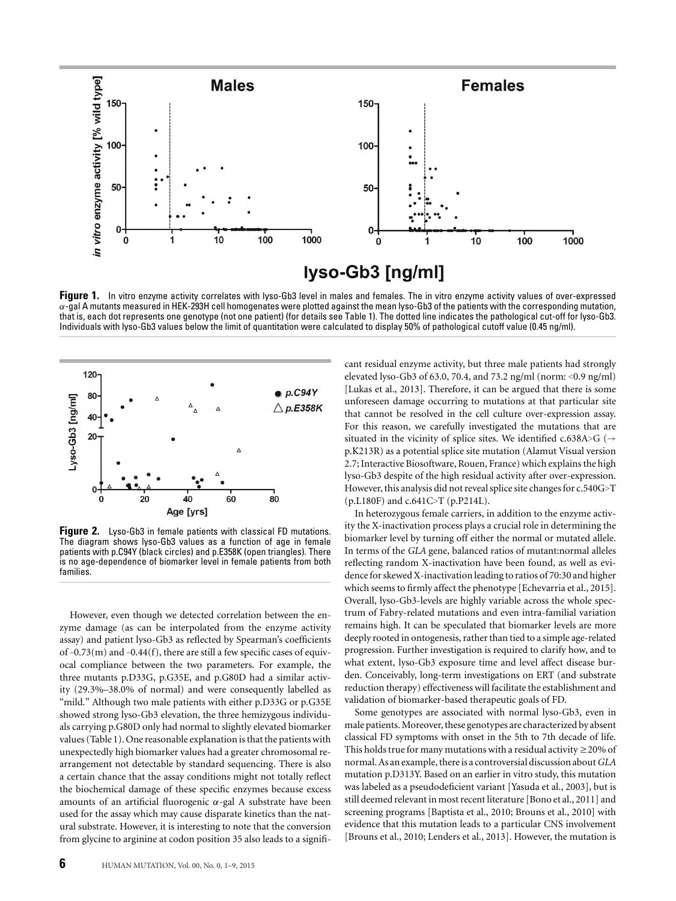

**Figure 1.** In vitro enzyme activity correlates with lyso-Gb3 level in males and females. The in vitro enzyme activity values of over-expressed  $\alpha$ -gal A mutants measured in HEK-293H cell homogenates were plotted against the mean lyso-Gb3 of the patients with the corresponding mutation, that is, each dot represents one genotype (not one patient) (for details see Table 1). The dotted line indicates the pathological cut-off for lyso-Gb3. Individuals with lyso-Gb3 values below the limit of quantitation were calculated to display 50% of pathological cutoff value (0.45 ng/ml).



**Figure 2.** Lyso-Gb3 in female patients with classical FD mutations. The diagram shows lyso-Gb3 values as a function of age in female patients with p.C94Y (black circles) and p.E358K (open triangles). There is no age-dependence of biomarker level in female patients from both families.

However, even though we detected correlation between the enzyme damage (as can be interpolated from the enzyme activity assay) and patient lyso-Gb3 as reflected by Spearman's coefficients of –0.73(m) and –0.44(f), there are still a few specific cases of equivocal compliance between the two parameters. For example, the three mutants p.D33G, p.G35E, and p.G80D had a similar activity (29.3%–38.0% of normal) and were consequently labelled as "mild." Although two male patients with either p.D33G or p.G35E showed strong lyso-Gb3 elevation, the three hemizygous individuals carrying p.G80D only had normal to slightly elevated biomarker values (Table 1). One reasonable explanation is that the patients with unexpectedly high biomarker values had a greater chromosomal rearrangement not detectable by standard sequencing. There is also a certain chance that the assay conditions might not totally reflect the biochemical damage of these specific enzymes because excess amounts of an artificial fluorogenic  $\alpha$ -gal A substrate have been used for the assay which may cause disparate kinetics than the natural substrate. However, it is interesting to note that the conversion from glycine to arginine at codon position 35 also leads to a significant residual enzyme activity, but three male patients had strongly elevated lyso-Gb3 of 63.0, 70.4, and 73.2 ng/ml (norm: <0.9 ng/ml) [Lukas et al., 2013]. Therefore, it can be argued that there is some unforeseen damage occurring to mutations at that particular site that cannot be resolved in the cell culture over-expression assay. For this reason, we carefully investigated the mutations that are situated in the vicinity of splice sites. We identified c.638A>G ( $\rightarrow$ p.K213R) as a potential splice site mutation (Alamut Visual version 2.7; Interactive Biosoftware, Rouen, France) which explains the high lyso-Gb3 despite of the high residual activity after over-expression. However, this analysis did not reveal splice site changes for c.540G>T (p.L180F) and c.641C>T (p.P214L).

In heterozygous female carriers, in addition to the enzyme activity the X-inactivation process plays a crucial role in determining the biomarker level by turning off either the normal or mutated allele. In terms of the *GLA* gene, balanced ratios of mutant:normal alleles reflecting random X-inactivation have been found, as well as evidence for skewed X-inactivation leading to ratios of 70:30 and higher which seems to firmly affect the phenotype [Echevarria et al., 2015]. Overall, lyso-Gb3-levels are highly variable across the whole spectrum of Fabry-related mutations and even intra-familial variation remains high. It can be speculated that biomarker levels are more deeply rooted in ontogenesis, rather than tied to a simple age-related progression. Further investigation is required to clarify how, and to what extent, lyso-Gb3 exposure time and level affect disease burden. Conceivably, long-term investigations on ERT (and substrate reduction therapy) effectiveness will facilitate the establishment and validation of biomarker-based therapeutic goals of FD.

Some genotypes are associated with normal lyso-Gb3, even in male patients.Moreover, these genotypes are characterized by absent classical FD symptoms with onset in the 5th to 7th decade of life. This holds true for many mutations with a residual activity  $\geq$  20% of normal. As an example, there is a controversial discussion about*GLA* mutation p.D313Y. Based on an earlier in vitro study, this mutation was labeled as a pseudodeficient variant [Yasuda et al., 2003], but is still deemed relevant in most recent literature [Bono et al., 2011] and screening programs [Baptista et al., 2010; Brouns et al., 2010] with evidence that this mutation leads to a particular CNS involvement [Brouns et al., 2010; Lenders et al., 2013]. However, the mutation is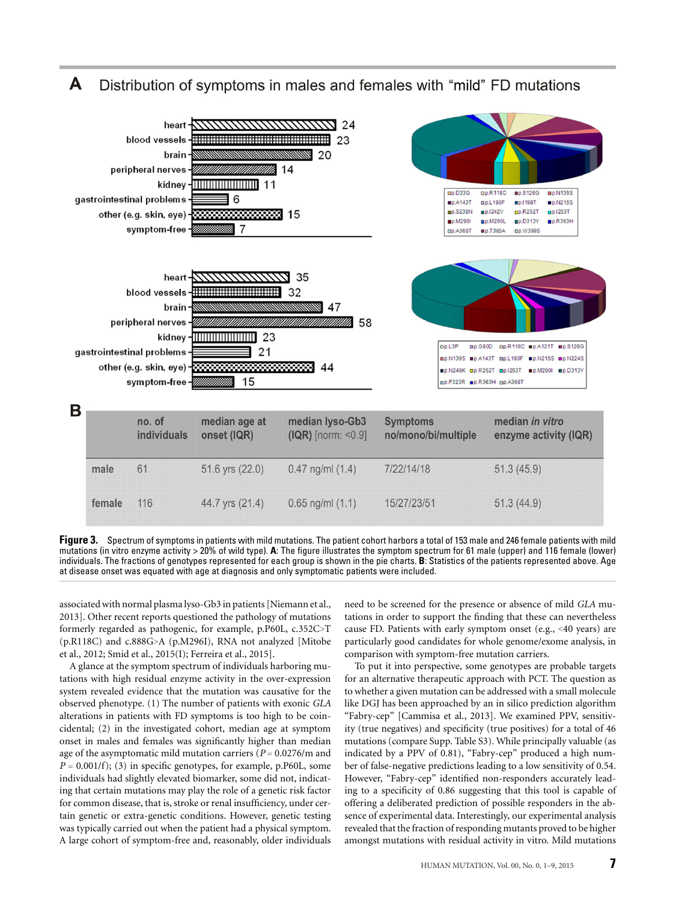A Distribution of symptoms in males and females with "mild" FD mutations



**Figure 3.** Spectrum of symptoms in patients with mild mutations. The patient cohort harbors a total of 153 male and 246 female patients with mild mutations (in vitro enzyme activity > 20% of wild type). **A**: The figure illustrates the symptom spectrum for 61 male (upper) and 116 female (lower) individuals. The fractions of genotypes represented for each group is shown in the pie charts. **B**: Statistics of the patients represented above. Age at disease onset was equated with age at diagnosis and only symptomatic patients were included.

associated with normal plasma lyso-Gb3 in patients [Niemann et al., 2013]. Other recent reports questioned the pathology of mutations formerly regarded as pathogenic, for example, p.P60L, c.352C>T (p.R118C) and c.888G>A (p.M296I), RNA not analyzed [Mitobe et al., 2012; Smid et al., 2015(I); Ferreira et al., 2015].

A glance at the symptom spectrum of individuals harboring mutations with high residual enzyme activity in the over-expression system revealed evidence that the mutation was causative for the observed phenotype. (1) The number of patients with exonic *GLA* alterations in patients with FD symptoms is too high to be coincidental; (2) in the investigated cohort, median age at symptom onset in males and females was significantly higher than median age of the asymptomatic mild mutation carriers (*P* = 0.0276/m and  $P = 0.001/f$ ; (3) in specific genotypes, for example, p.P60L, some individuals had slightly elevated biomarker, some did not, indicating that certain mutations may play the role of a genetic risk factor for common disease, that is, stroke or renal insufficiency, under certain genetic or extra-genetic conditions. However, genetic testing was typically carried out when the patient had a physical symptom. A large cohort of symptom-free and, reasonably, older individuals

need to be screened for the presence or absence of mild *GLA* mutations in order to support the finding that these can nevertheless cause FD. Patients with early symptom onset (e.g., <40 years) are particularly good candidates for whole genome/exome analysis, in comparison with symptom-free mutation carriers.

To put it into perspective, some genotypes are probable targets for an alternative therapeutic approach with PCT. The question as to whether a given mutation can be addressed with a small molecule like DGJ has been approached by an in silico prediction algorithm "Fabry-cep" [Cammisa et al., 2013]. We examined PPV, sensitivity (true negatives) and specificity (true positives) for a total of 46 mutations (compare Supp. Table S3). While principally valuable (as indicated by a PPV of 0.81), "Fabry-cep" produced a high number of false-negative predictions leading to a low sensitivity of 0.54. However, "Fabry-cep" identified non-responders accurately leading to a specificity of 0.86 suggesting that this tool is capable of offering a deliberated prediction of possible responders in the absence of experimental data. Interestingly, our experimental analysis revealed that the fraction of responding mutants proved to be higher amongst mutations with residual activity in vitro. Mild mutations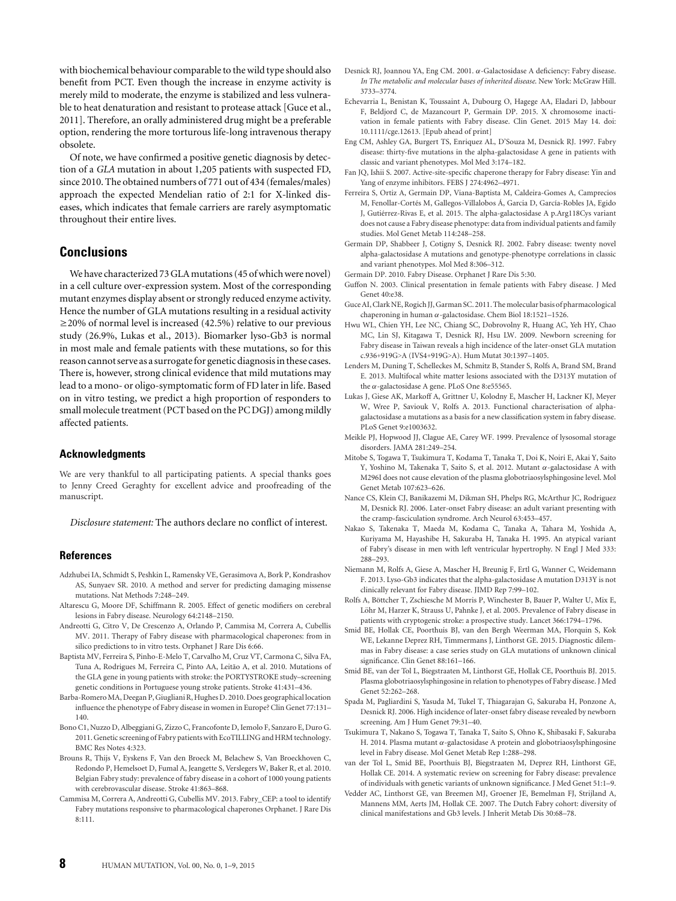with biochemical behaviour comparable to the wild type should also benefit from PCT. Even though the increase in enzyme activity is merely mild to moderate, the enzyme is stabilized and less vulnerable to heat denaturation and resistant to protease attack [Guce et al., 2011]. Therefore, an orally administered drug might be a preferable option, rendering the more torturous life-long intravenous therapy obsolete.

Of note, we have confirmed a positive genetic diagnosis by detection of a *GLA* mutation in about 1,205 patients with suspected FD, since 2010. The obtained numbers of 771 out of 434 (females/males) approach the expected Mendelian ratio of 2:1 for X-linked diseases, which indicates that female carriers are rarely asymptomatic throughout their entire lives.

# **Conclusions**

We have characterized 73 GLA mutations (45 of which were novel) in a cell culture over-expression system. Most of the corresponding mutant enzymes display absent or strongly reduced enzyme activity. Hence the number of GLA mutations resulting in a residual activity ≥20% of normal level is increased (42.5%) relative to our previous study (26.9%, Lukas et al., 2013). Biomarker lyso-Gb3 is normal in most male and female patients with these mutations, so for this reason cannot serve as a surrogate for genetic diagnosis in these cases. There is, however, strong clinical evidence that mild mutations may lead to a mono- or oligo-symptomatic form of FD later in life. Based on in vitro testing, we predict a high proportion of responders to small molecule treatment (PCT based on the PC DGJ) among mildly affected patients.

### **Acknowledgments**

We are very thankful to all participating patients. A special thanks goes to Jenny Creed Geraghty for excellent advice and proofreading of the manuscript.

*Disclosure statement:* The authors declare no conflict of interest.

### **References**

- Adzhubei IA, Schmidt S, Peshkin L, Ramensky VE, Gerasimova A, Bork P, Kondrashov AS, Sunyaev SR. 2010. A method and server for predicting damaging missense mutations. Nat Methods 7:248–249.
- Altarescu G, Moore DF, Schiffmann R. 2005. Effect of genetic modifiers on cerebral lesions in Fabry disease. Neurology 64:2148–2150.
- Andreotti G, Citro V, De Crescenzo A, Orlando P, Cammisa M, Correra A, Cubellis MV. 2011. Therapy of Fabry disease with pharmacological chaperones: from in silico predictions to in vitro tests. Orphanet J Rare Dis 6:66.
- Baptista MV, Ferreira S, Pinho-E-Melo T, Carvalho M, Cruz VT, Carmona C, Silva FA, Tuna A, Rodrigues M, Ferreira C, Pinto AA, Leitão A, et al. 2010. Mutations of the GLA gene in young patients with stroke: the PORTYSTROKE study–screening genetic conditions in Portuguese young stroke patients. Stroke 41:431–436.
- Barba-RomeroMA, Deegan P, Giugliani R, Hughes D. 2010. Does geographical location influence the phenotype of Fabry disease in women in Europe? Clin Genet 77:131– 140.
- Bono C1, Nuzzo D, Albeggiani G, Zizzo C, Francofonte D, Iemolo F, Sanzaro E, Duro G. 2011. Genetic screening of Fabry patients with EcoTILLING and HRM technology. BMC Res Notes 4:323.
- Brouns R, Thijs V, Eyskens F, Van den Broeck M, Belachew S, Van Broeckhoven C, Redondo P, Hemelsoet D, Fumal A, Jeangette S, Verslegers W, Baker R, et al. 2010. Belgian Fabry study: prevalence of fabry disease in a cohort of 1000 young patients with cerebrovascular disease. Stroke 41:863–868.
- Cammisa M, Correra A, Andreotti G, Cubellis MV. 2013. Fabry\_CEP: a tool to identify Fabry mutations responsive to pharmacological chaperones Orphanet. J Rare Dis 8:111.
- Desnick RJ, Joannou YA, Eng CM. 2001. α-Galactosidase A deficiency: Fabry disease. *In The metabolic and molecular bases of inherited disease*. New York: McGraw Hill. 3733–3774.
- Echevarria L, Benistan K, Toussaint A, Dubourg O, Hagege AA, Eladari D, Jabbour F, Beldjord C, de Mazancourt P, Germain DP. 2015. X chromosome inactivation in female patients with Fabry disease. Clin Genet. 2015 May 14. doi: 10.1111/cge.12613. [Epub ahead of print]
- Eng CM, Ashley GA, Burgert TS, Enriquez AL, D'Souza M, Desnick RJ. 1997. Fabry disease: thirty-five mutations in the alpha-galactosidase A gene in patients with classic and variant phenotypes. Mol Med 3:174–182.
- Fan JQ, Ishii S. 2007. Active-site-specific chaperone therapy for Fabry disease: Yin and Yang of enzyme inhibitors. FEBS J 274:4962–4971.
- Ferreira S, Ortiz A, Germain DP, Viana-Baptista M, Caldeira-Gomes A, Camprecios M, Fenollar-Cortés M, Gallegos-Villalobos Á, Garcia D, García-Robles JA, Egido J, Gutierrez-Rivas E, et al. 2015. The alpha-galactosidase A p.Arg118Cys variant ´ does not cause a Fabry disease phenotype: data from individual patients and family studies. Mol Genet Metab 114:248–258.
- Germain DP, Shabbeer J, Cotigny S, Desnick RJ. 2002. Fabry disease: twenty novel alpha-galactosidase A mutations and genotype-phenotype correlations in classic and variant phenotypes. Mol Med 8:306–312.
- Germain DP. 2010. Fabry Disease. Orphanet J Rare Dis 5:30.
- Guffon N. 2003. Clinical presentation in female patients with Fabry disease. J Med Genet 40:e38.
- Guce AI, Clark NE, Rogich JJ, Garman SC. 2011. Themolecular basis of pharmacological chaperoning in human α-galactosidase. Chem Biol 18:1521–1526.
- Hwu WL, Chien YH, Lee NC, Chiang SC, Dobrovolny R, Huang AC, Yeh HY, Chao MC, Lin SJ, Kitagawa T, Desnick RJ, Hsu LW. 2009. Newborn screening for Fabry disease in Taiwan reveals a high incidence of the later-onset GLA mutation c.936+919G>A (IVS4+919G>A). Hum Mutat 30:1397–1405.
- Lenders M, Duning T, Schelleckes M, Schmitz B, Stander S, Rolfs A, Brand SM, Brand E. 2013. Multifocal white matter lesions associated with the D313Y mutation of the α-galactosidase A gene. PLoS One 8:e55565.
- Lukas J, Giese AK, Markoff A, Grittner U, Kolodny E, Mascher H, Lackner KJ, Meyer W, Wree P, Saviouk V, Rolfs A, 2013. Functional characterisation of alphagalactosidase a mutations as a basis for a new classification system in fabry disease. PLoS Genet 9:e1003632.
- Meikle PJ, Hopwood JJ, Clague AE, Carey WF. 1999. Prevalence of lysosomal storage disorders. JAMA 281:249–254.
- Mitobe S, Togawa T, Tsukimura T, Kodama T, Tanaka T, Doi K, Noiri E, Akai Y, Saito Y, Yoshino M, Takenaka T, Saito S, et al. 2012. Mutant α-galactosidase A with M296I does not cause elevation of the plasma globotriaosylsphingosine level. Mol Genet Metab 107:623–626.
- Nance CS, Klein CJ, Banikazemi M, Dikman SH, Phelps RG, McArthur JC, Rodriguez M, Desnick RJ. 2006. Later-onset Fabry disease: an adult variant presenting with the cramp-fasciculation syndrome. Arch Neurol 63:453–457.
- Nakao S, Takenaka T, Maeda M, Kodama C, Tanaka A, Tahara M, Yoshida A, Kuriyama M, Hayashibe H, Sakuraba H, Tanaka H. 1995. An atypical variant of Fabry's disease in men with left ventricular hypertrophy. N Engl J Med 333: 288–293.
- Niemann M, Rolfs A, Giese A, Mascher H, Breunig F, Ertl G, Wanner C, Weidemann F. 2013. Lyso-Gb3 indicates that the alpha-galactosidase A mutation D313Y is not clinically relevant for Fabry disease. JIMD Rep 7:99–102.
- Rolfs A, Böttcher T, Zschiesche M Morris P, Winchester B, Bauer P, Walter U, Mix E, Löhr M, Harzer K, Strauss U, Pahnke J, et al. 2005. Prevalence of Fabry disease in patients with cryptogenic stroke: a prospective study. Lancet 366:1794–1796.
- Smid BE, Hollak CE, Poorthuis BJ, van den Bergh Weerman MA, Florquin S, Kok WE, Lekanne Deprez RH, Timmermans J, Linthorst GE. 2015. Diagnostic dilemmas in Fabry disease: a case series study on GLA mutations of unknown clinical significance. Clin Genet 88:161–166.
- Smid BE, van der Tol L, Biegstraaten M, Linthorst GE, Hollak CE, Poorthuis BJ. 2015. Plasma globotriaosylsphingosine in relation to phenotypes of Fabry disease. J Med Genet 52:262–268.
- Spada M, Pagliardini S, Yasuda M, Tukel T, Thiagarajan G, Sakuraba H, Ponzone A, Desnick RJ. 2006. High incidence of later-onset fabry disease revealed by newborn screening. Am J Hum Genet 79:31–40.
- Tsukimura T, Nakano S, Togawa T, Tanaka T, Saito S, Ohno K, Shibasaki F, Sakuraba H. 2014. Plasma mutant α-galactosidase A protein and globotriaosylsphingosine level in Fabry disease. Mol Genet Metab Rep 1:288–298.
- van der Tol L, Smid BE, Poorthuis BJ, Biegstraaten M, Deprez RH, Linthorst GE, Hollak CE. 2014. A systematic review on screening for Fabry disease: prevalence of individuals with genetic variants of unknown significance. J Med Genet 51:1–9.
- Vedder AC, Linthorst GE, van Breemen MJ, Groener JE, Bemelman FJ, Strijland A, Mannens MM, Aerts JM, Hollak CE. 2007. The Dutch Fabry cohort: diversity of clinical manifestations and Gb3 levels. J Inherit Metab Dis 30:68–78.